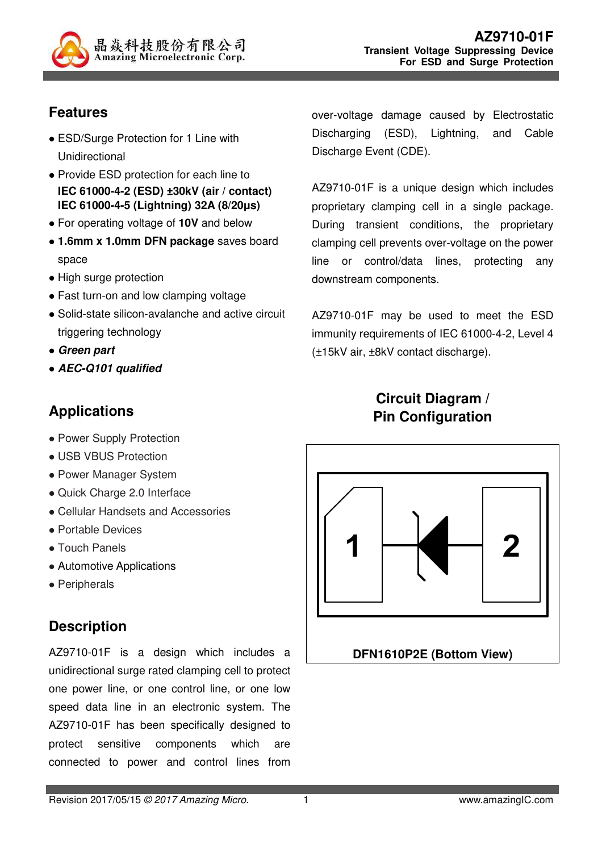

# **Features**

- ESD/Surge Protection for 1 Line with Unidirectional
- Provide ESD protection for each line to **IEC 61000-4-2 (ESD) ±30kV (air / contact) IEC 61000-4-5 (Lightning) 32A (8/20µs)**
- For operating voltage of **10V** and below
- **1.6mm x 1.0mm DFN package** saves board space
- High surge protection
- Fast turn-on and low clamping voltage
- Solid-state silicon-avalanche and active circuit triggering technology
- **Green part**
- **AEC-Q101 qualified**

# **Applications**

- Power Supply Protection
- USB VBUS Protection
- Power Manager System
- Quick Charge 2.0 Interface
- Cellular Handsets and Accessories
- Portable Devices
- Touch Panels
- Automotive Applications
- Peripherals

# **Description**

AZ9710-01F is a design which includes a unidirectional surge rated clamping cell to protect one power line, or one control line, or one low speed data line in an electronic system. The AZ9710-01F has been specifically designed to protect sensitive components which are connected to power and control lines from

over-voltage damage caused by Electrostatic Discharging (ESD), Lightning, and Cable Discharge Event (CDE).

AZ9710-01F is a unique design which includes proprietary clamping cell in a single package. During transient conditions, the proprietary clamping cell prevents over-voltage on the power line or control/data lines, protecting any downstream components.

AZ9710-01F may be used to meet the ESD immunity requirements of IEC 61000-4-2, Level 4 (±15kV air, ±8kV contact discharge).

# **Circuit Diagram / Pin Configuration**

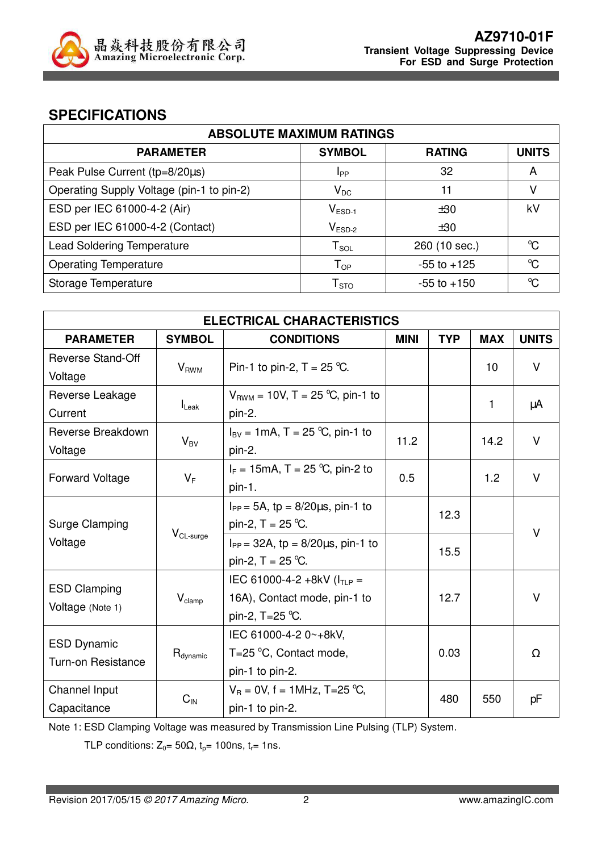

#### **SPECIFICATIONS**

| <b>ABSOLUTE MAXIMUM RATINGS</b>           |                            |                 |                      |  |
|-------------------------------------------|----------------------------|-----------------|----------------------|--|
| <b>PARAMETER</b>                          | <b>SYMBOL</b>              | <b>RATING</b>   | <b>UNITS</b>         |  |
| Peak Pulse Current (tp=8/20µs)            | Ipp                        | 32              | A                    |  |
| Operating Supply Voltage (pin-1 to pin-2) | $V_{DC}$                   | 11              |                      |  |
| ESD per IEC 61000-4-2 (Air)               | $V_{ESD-1}$                | ±30             | kV                   |  |
| ESD per IEC 61000-4-2 (Contact)           | $V_{ESD-2}$                | ±30             |                      |  |
| <b>Lead Soldering Temperature</b>         | $T_{\texttt{SOL}}$         | 260 (10 sec.)   | $\rm ^{o}C$          |  |
| <b>Operating Temperature</b>              | $T_{OP}$                   | $-55$ to $+125$ | $\mathrm{C}^{\circ}$ |  |
| Storage Temperature                       | ${\mathsf T}_{\text{STO}}$ | $-55$ to $+150$ | °C                   |  |

| <b>ELECTRICAL CHARACTERISTICS</b>               |                      |                                                                                     |             |            |            |              |
|-------------------------------------------------|----------------------|-------------------------------------------------------------------------------------|-------------|------------|------------|--------------|
| <b>PARAMETER</b>                                | <b>SYMBOL</b>        | <b>CONDITIONS</b>                                                                   | <b>MINI</b> | <b>TYP</b> | <b>MAX</b> | <b>UNITS</b> |
| <b>Reverse Stand-Off</b><br>Voltage             | $V_{RWM}$            | Pin-1 to pin-2, $T = 25$ °C.                                                        |             |            | 10         | $\vee$       |
| Reverse Leakage<br>Current                      | $I_{\text{Leak}}$    | $V_{RWM}$ = 10V, T = 25 °C, pin-1 to<br>pin-2.                                      |             |            | 1          | μA           |
| Reverse Breakdown<br>Voltage                    | $V_{BV}$             | $I_{BV} = 1 \text{mA}, T = 25 \text{ °C}, \text{pin-1 to}$<br>pin-2.                | 11.2        |            | 14.2       | $\vee$       |
| <b>Forward Voltage</b>                          | $V_F$                | $I_F = 15 \text{mA}, T = 25 \text{ °C}, \text{pin-2 to}$<br>pin-1.                  | 0.5         |            | 1.2        | $\vee$       |
| Surge Clamping                                  |                      | $I_{PP} = 5A$ , tp = 8/20 $\mu$ s, pin-1 to<br>pin-2, $T = 25$ °C.                  |             | 12.3       |            | $\vee$       |
| Voltage                                         | $V_{CL-surge}$       | $I_{PP} = 32A$ , tp = $8/20\mu s$ , pin-1 to<br>pin-2, $T = 25$ °C.                 |             | 15.5       |            |              |
| <b>ESD Clamping</b><br>Voltage (Note 1)         | $V_{\text{clamp}}$   | IEC 61000-4-2 +8kV ( $I_{TLP}$ =<br>16A), Contact mode, pin-1 to<br>pin-2, T=25 °C. |             | 12.7       |            | $\vee$       |
| <b>ESD Dynamic</b><br><b>Turn-on Resistance</b> | $R_{\text{dynamic}}$ | IEC 61000-4-2 0~+8kV,<br>T=25 $\degree$ C, Contact mode,<br>pin-1 to pin-2.         |             | 0.03       |            | Ω            |
| Channel Input<br>Capacitance                    | $C_{\text{IN}}$      | $V_R = 0V$ , f = 1MHz, T=25 °C,<br>pin-1 to pin-2.                                  |             | 480        | 550        | pF           |

Note 1: ESD Clamping Voltage was measured by Transmission Line Pulsing (TLP) System.

TLP conditions:  $Z_0 = 50\Omega$ ,  $t_p = 100$ ns,  $t_r = 1$ ns.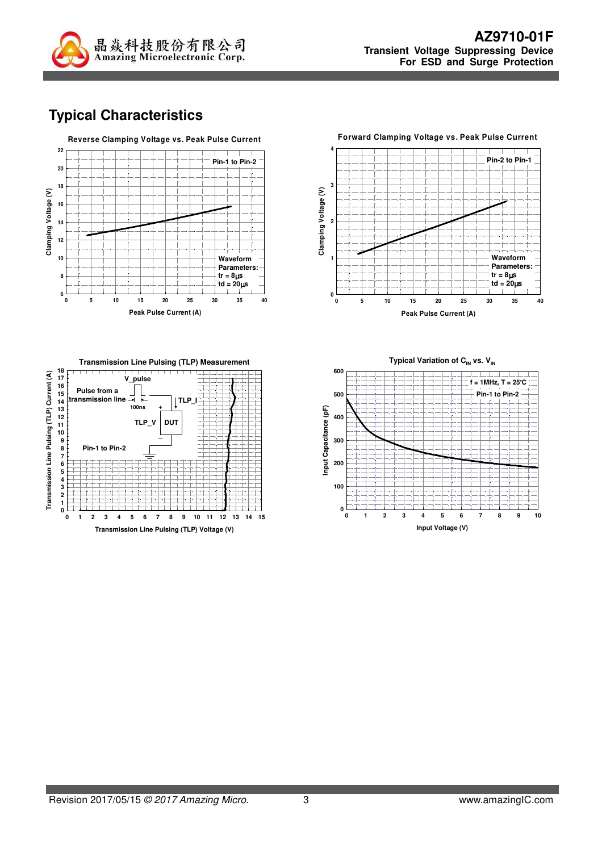

# **Typical Characteristics**







**Typical Variation of C<sub>IN</sub> vs. V<sub>IN</sub>** 

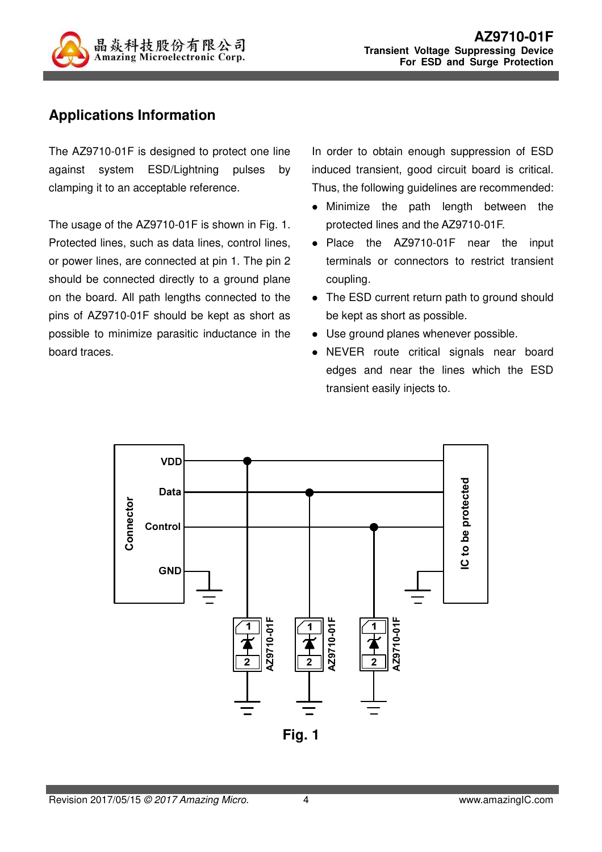

# **Applications Information**

The AZ9710-01F is designed to protect one line against system ESD/Lightning pulses by clamping it to an acceptable reference.

The usage of the AZ9710-01F is shown in Fig. 1. Protected lines, such as data lines, control lines, or power lines, are connected at pin 1. The pin 2 should be connected directly to a ground plane on the board. All path lengths connected to the pins of AZ9710-01F should be kept as short as possible to minimize parasitic inductance in the board traces.

In order to obtain enough suppression of ESD induced transient, good circuit board is critical. Thus, the following guidelines are recommended:

- Minimize the path length between the protected lines and the AZ9710-01F.
- Place the AZ9710-01F near the input terminals or connectors to restrict transient coupling.
- The ESD current return path to ground should be kept as short as possible.
- Use ground planes whenever possible.
- NEVER route critical signals near board edges and near the lines which the ESD transient easily injects to.

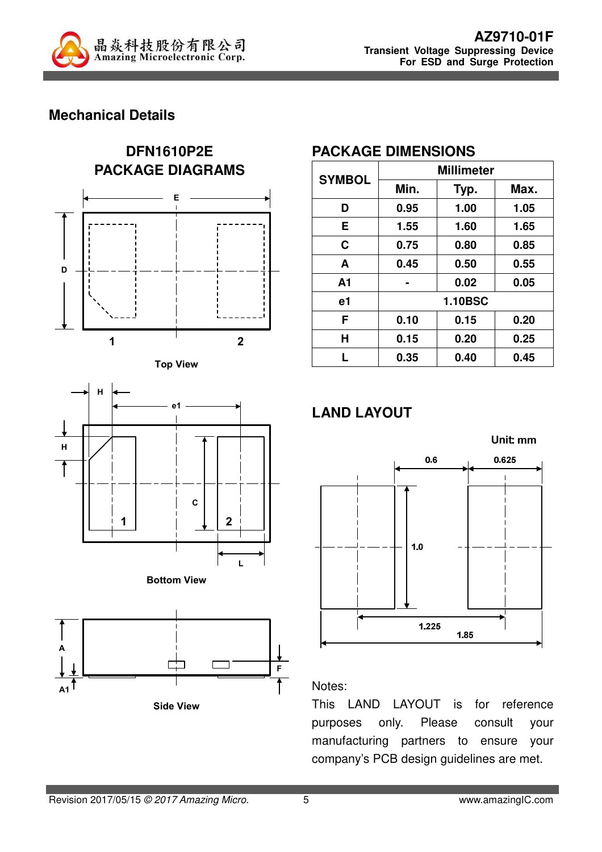

# **Mechanical Details**











#### **PACKAGE DIMENSIONS**

| <b>SYMBOL</b>  | <b>Millimeter</b> |      |      |  |  |
|----------------|-------------------|------|------|--|--|
|                | Min.              | Typ. | Max. |  |  |
| D              | 0.95              | 1.00 | 1.05 |  |  |
| Е              | 1.55              | 1.60 | 1.65 |  |  |
| C              | 0.75              | 0.80 | 0.85 |  |  |
| A              | 0.45              | 0.50 | 0.55 |  |  |
| A <sub>1</sub> |                   | 0.02 | 0.05 |  |  |
| e1             | <b>1.10BSC</b>    |      |      |  |  |
| F              | 0.10              | 0.15 | 0.20 |  |  |
| Н              | 0.15              | 0.20 | 0.25 |  |  |
|                | 0.35              | 0.40 | 0.45 |  |  |

# **LAND LAYOUT**



#### Notes:

This LAND LAYOUT is for reference purposes only. Please consult your manufacturing partners to ensure your company's PCB design guidelines are met.